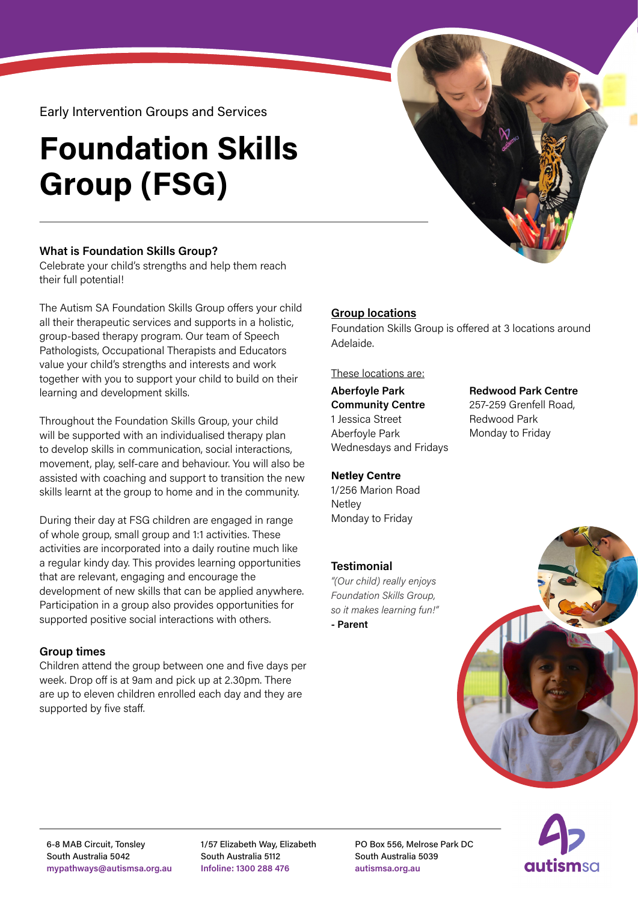Early Intervention Groups and Services

# **Foundation Skills Group (FSG)**

## **What is Foundation Skills Group?**

Celebrate your child's strengths and help them reach their full potential!

The Autism SA Foundation Skills Group offers your child all their therapeutic services and supports in a holistic, group-based therapy program. Our team of Speech Pathologists, Occupational Therapists and Educators value your child's strengths and interests and work together with you to support your child to build on their learning and development skills.

Throughout the Foundation Skills Group, your child will be supported with an individualised therapy plan to develop skills in communication, social interactions, movement, play, self-care and behaviour. You will also be assisted with coaching and support to transition the new skills learnt at the group to home and in the community.

During their day at FSG children are engaged in range of whole group, small group and 1:1 activities. These activities are incorporated into a daily routine much like a regular kindy day. This provides learning opportunities that are relevant, engaging and encourage the development of new skills that can be applied anywhere. Participation in a group also provides opportunities for supported positive social interactions with others.

## **Group times**

Children attend the group between one and five days per week. Drop off is at 9am and pick up at 2.30pm. There are up to eleven children enrolled each day and they are supported by five staff.

# **Group locations**

Foundation Skills Group is offered at 3 locations around Adelaide.

> **Redwood Park Centre** 257-259 Grenfell Road,

Redwood Park Monday to Friday

These locations are:

#### **Aberfoyle Park Community Centre** 1 Jessica Street Aberfoyle Park Wednesdays and Fridays

## **Netley Centre**

1/256 Marion Road **Netlev** Monday to Friday

# **Testimonial**

*"(Our child) really enjoys Foundation Skills Group, so it makes learning fun!"*  **- Parent**





1/57 Elizabeth Way, Elizabeth South Australia 5112 **Infoline: 1300 288 476**

PO Box 556, Melrose Park DC South Australia 5039 **autismsa.org.au**